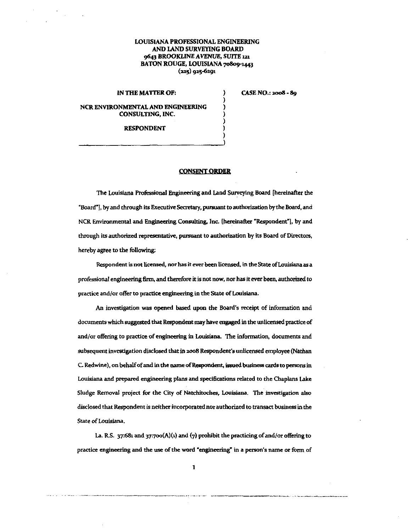## LOUISIANA PROFESSIONAL ENGINEERING AND LAND SURVEYING BOARD 9643 BROOKLINE AVENUE, SUITE 121 BATON ROUGE, LOUISIANA 70809-1443  $(225)$  925-6291

) ) ) ) )

IN THE MATTER OF:

NCR ENVIRONMENTAL AND ENGINEERING CONSULTING, INC.

CASE NO.: 2008 - 89

RESPONDENT ) RESPONDENT<br>( )<br>(

## **CONSENT ORDER**

The Louisiana Proressional Engineering and Land Surveying Board {hereinafter the "Board"!, by and through its Executive Secretary, punruant to authorization by the Board, and NCR Environmental and Engineering Consulting, Inc. [hereinafter "Respondent"], by and through its authorized representative, pursuant to authorization by its Board of Directors, hereby agree to the following:

Respondent is not licensed, nor has it ever been licensed, in the State of Louisiana as a professional engineering firm, and therefore it is not now, nor has it ever been, authorized to practice and/or offer to practice engineering in the State of Louisiana.

An investigation was opened based upon the Board's receipt of information and documents which suggested that Respondent may have engaged in the unlicensed practice of and/or offering to practice of engineering in Louisiana. The information, documents and subsequent investigation disclosed that in 2008 Respondent's unlicensed employee (Nathan C. Redwine), on behalf of and in the name of Respondent, issued business cards to persons in Louisiana and prepared engineering plans and specifications related to the Chaplans Lake Sludge Removal project for the City of Natchitoches, Louisiana. The investigation also disclosed that Respondent is neither incorporated nor authorized to transact business in the State of Louisiana.

La. R.S. 37:681 and 37:700(A)(1) and (7) prohibit the practicing of and/or offering to practice engineering and the use of the word "engineering" in a person's name or furm of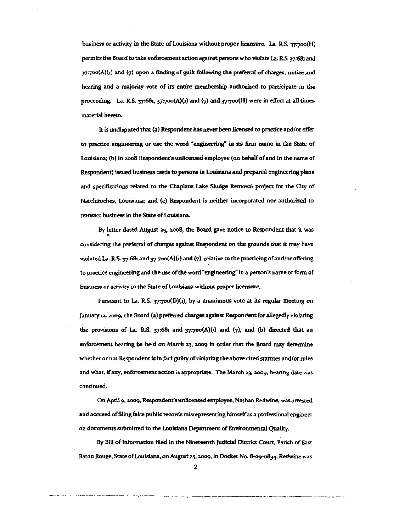business or activity in the State of Louisiana without proper licensure. La. R.S. 37:700(H) permits the Board to take enforcement action against persons who violate La. R.S. 37:681 and  $37'7'30(A)(1)$  and  $(7)$  upon a finding of guilt following the preferral of charges, notice and hearing and a majority vote of its entire membership authorized to participate in the proceeding. La. R.S. 37:681, 37:700(A)(1) and  $(7)$  and 37:700(H) were in effect at all times material hereto.

It is undisputed that (a) Respondent has never been licensed to practice and/or offer to practice engineering or use the word "engineering" in its 6rm name in the State of Louisiana; (b) in 2oo8 Respondent's unlicensed employee (on bebalf of and in the name of Respondent) issued business cards to persons in Louisiana and prepared engineering plans and specifications related to the Chaplans Lake Slndge Removal project for the City of Natchitoches, Louisiana; and (c) Respondent is neither incorporated nor authorized to transact business in the State of Louisiana.

By letter dated August 25, 2008, the Board gave notice to Respondent that it was <sup>~</sup> considering the prelerral of charges against Respondent on the grounds that it may have violated La. R.S. 37:681 and 37:700(A)(1) and (7), relative to the practicing of and/or offering to practice engineering and the use of the word "engineering" in a person's name or form of **business or activity in the State of Louisiana without proper licensure.** 

Pursuant to La. R.S.  $37700(D)(1)$ , by a unanimous vote at its regular meeting on January 12, 2009, the Board (a) preferred charges against Respondent for allegedly violating the provisions of La. R.S.  $37:68$  and  $37:700(A)(1)$  and  $(7)$ , and (b) directed that an enforcement hearing be held on March 23, 2009 in order that the Board may determine whether or not Respondent is in fact guilty of violating the above cited statutes and/or rules **and what, if any, enforcement action is appropriate. The March 2.3,** *:z.oog,* **hearing date was continued.** 

On April 9, 2009, Respondent's unlicensed employee, Nathan Redwine, was arrested and accused of filing false public records misrepresenting himself as a professional engineer on documents submitted to the Louisiana Department of Environmental Quality.

By Bill of Information filed in the Nineteenth Judicial District Court, Parish of East Baton Rouge, State of Louisiana, on August 25, 2009, in Docket No. 8-09-0834, Redwine was

. ···-- ···------------------------------- ------:----------~-----.. -----.,.\_., \_\_\_\_\_\_\_\_\_\_ " \_\_\_\_\_\_\_\_\_\_\_\_\_ \_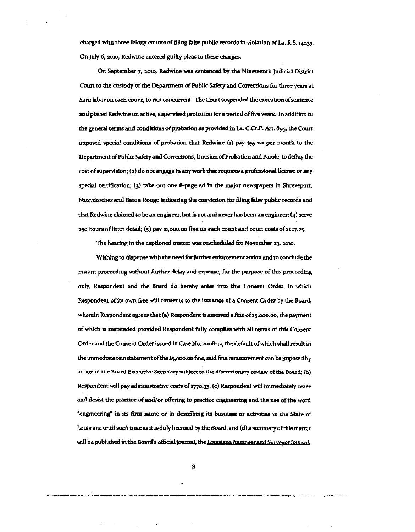charged with three felony counts of filing false public records in violation of La. R.S. 14:133. On July 6, 2010, Redwine entered goilty pleas to these charges.

On September 7, 2010, Redwine was sentenced by the Nineteenth Judicial District Court to the custody of the Department of Public Safety and Corrections for three years at hard labor on each count, to run concurrent. The Court suspended the execution of sentence and placed Redwine on active, supervised probation for a period of five years. In addition to the general terms aud conditions of probation as provided in La. C.Cr.P. Art. 895, the Court imposed special conditions of probation that Redwine (1) pay \$55.00 per month to the Department of Public Safety and Corrections, Division of Probation and Parole, to defray the cost of supervision; (2) do not engage in any work that requires a professional license or any special certification; (3) take out one 8-page ad in the major newspapers in Shreveport, Natchitoches and Baton Rouge indicating the conviction for filing false public records and that Redwine claimed to be an engineer, but is not and never has been an engineer;  $(4)$  serve 250 hours of litter detail; (5) pay SJ.ooo.oo fine on each count and court costs of \$227.>5·

The hearing in the captioned matter was rescheduled for November 23, 2010.

Wishing to dispense with the need for further enforcement action and to conclude the instant proceeding without further delay and expense, for the purpose of this proceeding only, Respondent and the Board do hereby enter into this Consent Order, in which Respondent of its own free will consents to the issuance of a Consent Otder by the Board, wherein Respondent agrees that (a) Respondent is assessed a fine of \$5,000.00, the payment of which is suspended provided Respondent fully complies with all terms of this Consent Order and the Consent Order issued in Case No. 2008-12, the default of which shall result in the immediate reinstatement of the \$5,ooo.oo fine, said fine reinstatement can be imposed by action of the Board Executive Secretary subject to the discretionary review of the Board; (b) Respondent will pay administrative costs of \$770.33, (c) Respondent will immediately cease and desist the practice of and/or offering to practice engineering and the use of the word **•engineering" in its firm name or in describing its business or activities in the State of**  Louisiana until such time as it is duly licensed by the Board, and (d) a summary of this matter will be published in the Board's official journal, the Louisiana Engineer and Surveyor Journal.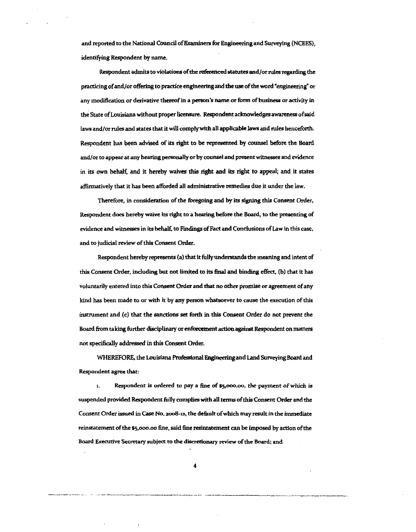and reported to the National Council of Examiners for Engineering and Surveying (NCEES), identifying Respondent by name.

Respondent admits to violations of the referenced statutes and/or rules regarding the practicing of and/or offering to practice engineering and the use of the word "engineering" or any modification or derivative thereof in a person's name or form of business or activity in the State of Louisiana without proper licensure. Respondent acknowledges awareness of said laws and/or rules and states that it will comply with all applicable laws and rules henceforth. Respondent has been advised of its right to be represented by counsel before the Board and/or to appear at any hearing personally or by counsel and present witnesses and evidence in its own behalf, and it hereby waives this right and its right to appeal; and it states affirmatively that it has been afforded all administrative remedies due it under the law.

Therefore, in consideration of the foregoing and by its signing this Consent Order, Respondent does hereby waive its right to a hearing before the Board, to the presenting of evidence and witnesses in its behalf, to Findings of Fact and Conclusions of Law in this case, and to judicial review of this Consent Order.

Respondent hereby represents (a) that it fully understands the meaning and intent of this Consent Order, including but not limited to its final and binding effect, (b) that it has voluntarily entered into this Consent Order and that no other promise or agreement of any kind has been made to or with it by any person whatsoever to cause the execution of this instrument and (c) that the sanctions set forth in this Consent Order do not prevent the Board from taking further disciplinary or enfurcement action against Respondent on matters not specifically addressed in this Consent Order.

WHEREFORE, the Louisiana Professional Engineering and Land Surveying Board and Respondent agree that:

1. Respondent is ordered to pay a fine of \$5,000.00, the payment of which is suspended provided Respondent folly complies with all terms of this Consent Order and the Consent Order issued in Case No. 2008-12, the default of which may result in the immediate reinstatement of the \$5,ooo.oo fine, said fate resintatement can be imposed by action of the Board Executive Secretary subject to the disaetionary review of the Board; and

4

-- ~-··---------~------------------·-··· ----------------···-·-----"· ... ------·---.. ·----------